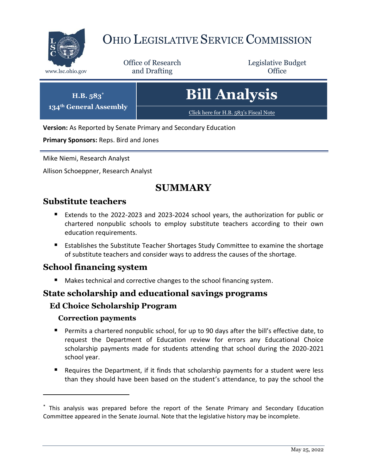

**134<sup>th</sup> General** 

# OHIO LEGISLATIVE SERVICE COMMISSION

Office of Research www.lsc.ohio.gov **and Drafting Office** 

Legislative Budget

| H.B. 583*<br>eneral Assembly | <b>Bill Analysis</b>                  |
|------------------------------|---------------------------------------|
|                              | Click here for H.B. 583's Fiscal Note |

**Version:** As Reported by Senate Primary and Secondary Education

**Primary Sponsors:** Reps. Bird and Jones

Mike Niemi, Research Analyst

Allison Schoeppner, Research Analyst

# **SUMMARY**

## **Substitute teachers**

- Extends to the 2022-2023 and 2023-2024 school years, the authorization for public or chartered nonpublic schools to employ substitute teachers according to their own education requirements.
- **Establishes the Substitute Teacher Shortages Study Committee to examine the shortage** of substitute teachers and consider ways to address the causes of the shortage.

#### **School financing system**

Makes technical and corrective changes to the school financing system.

#### **State scholarship and educational savings programs**

#### **Ed Choice Scholarship Program**

#### **Correction payments**

- Permits a chartered nonpublic school, for up to 90 days after the bill's effective date, to request the Department of Education review for errors any Educational Choice scholarship payments made for students attending that school during the 2020-2021 school year.
- Requires the Department, if it finds that scholarship payments for a student were less than they should have been based on the student's attendance, to pay the school the

<sup>\*</sup> This analysis was prepared before the report of the Senate Primary and Secondary Education Committee appeared in the Senate Journal. Note that the legislative history may be incomplete.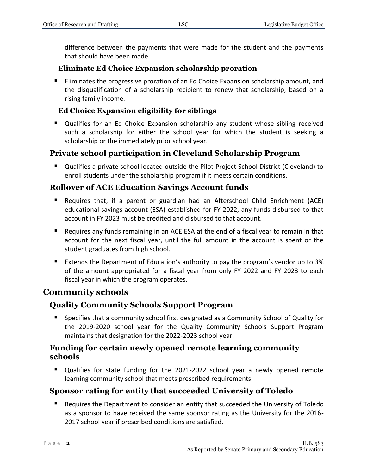difference between the payments that were made for the student and the payments that should have been made.

#### **Eliminate Ed Choice Expansion scholarship proration**

**Eliminates the progressive proration of an Ed Choice Expansion scholarship amount, and** the disqualification of a scholarship recipient to renew that scholarship, based on a rising family income.

#### **Ed Choice Expansion eligibility for siblings**

 Qualifies for an Ed Choice Expansion scholarship any student whose sibling received such a scholarship for either the school year for which the student is seeking a scholarship or the immediately prior school year.

#### **Private school participation in Cleveland Scholarship Program**

 Qualifies a private school located outside the Pilot Project School District (Cleveland) to enroll students under the scholarship program if it meets certain conditions.

#### **Rollover of ACE Education Savings Account funds**

- Requires that, if a parent or guardian had an Afterschool Child Enrichment (ACE) educational savings account (ESA) established for FY 2022, any funds disbursed to that account in FY 2023 must be credited and disbursed to that account.
- Requires any funds remaining in an ACE ESA at the end of a fiscal year to remain in that account for the next fiscal year, until the full amount in the account is spent or the student graduates from high school.
- Extends the Department of Education's authority to pay the program's vendor up to  $3\%$ of the amount appropriated for a fiscal year from only FY 2022 and FY 2023 to each fiscal year in which the program operates.

# **Community schools**

#### **Quality Community Schools Support Program**

**Specifies that a community school first designated as a Community School of Quality for** the 2019-2020 school year for the Quality Community Schools Support Program maintains that designation for the 2022-2023 school year.

#### **Funding for certain newly opened remote learning community schools**

 Qualifies for state funding for the 2021-2022 school year a newly opened remote learning community school that meets prescribed requirements.

#### **Sponsor rating for entity that succeeded University of Toledo**

■ Requires the Department to consider an entity that succeeded the University of Toledo as a sponsor to have received the same sponsor rating as the University for the 2016- 2017 school year if prescribed conditions are satisfied.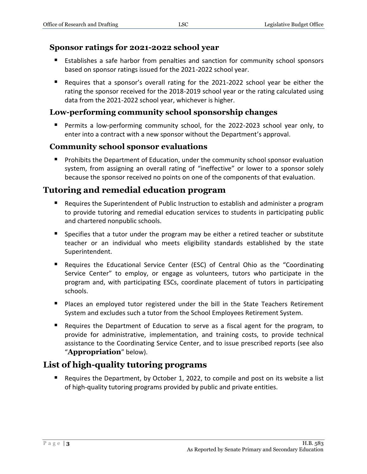#### **Sponsor ratings for 2021-2022 school year**

- Establishes a safe harbor from penalties and sanction for community school sponsors based on sponsor ratings issued for the 2021-2022 school year.
- Requires that a sponsor's overall rating for the 2021-2022 school year be either the rating the sponsor received for the 2018-2019 school year or the rating calculated using data from the 2021-2022 school year, whichever is higher.

#### **Low-performing community school sponsorship changes**

 Permits a low-performing community school, for the 2022-2023 school year only, to enter into a contract with a new sponsor without the Department's approval.

#### **Community school sponsor evaluations**

**Prohibits the Department of Education, under the community school sponsor evaluation** system, from assigning an overall rating of "ineffective" or lower to a sponsor solely because the sponsor received no points on one of the components of that evaluation.

# **Tutoring and remedial education program**

- **Requires the Superintendent of Public Instruction to establish and administer a program** to provide tutoring and remedial education services to students in participating public and chartered nonpublic schools.
- Specifies that a tutor under the program may be either a retired teacher or substitute teacher or an individual who meets eligibility standards established by the state Superintendent.
- Requires the Educational Service Center (ESC) of Central Ohio as the "Coordinating Service Center" to employ, or engage as volunteers, tutors who participate in the program and, with participating ESCs, coordinate placement of tutors in participating schools.
- Places an employed tutor registered under the bill in the State Teachers Retirement System and excludes such a tutor from the School Employees Retirement System.
- Requires the Department of Education to serve as a fiscal agent for the program, to provide for administrative, implementation, and training costs, to provide technical assistance to the Coordinating Service Center, and to issue prescribed reports (see also "**Appropriation**" below).

# **List of high-quality tutoring programs**

■ Requires the Department, by October 1, 2022, to compile and post on its website a list of high-quality tutoring programs provided by public and private entities.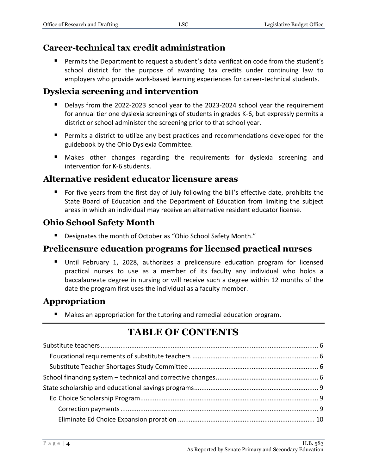# **Career-technical tax credit administration**

 Permits the Department to request a student's data verification code from the student's school district for the purpose of awarding tax credits under continuing law to employers who provide work-based learning experiences for career-technical students.

# **Dyslexia screening and intervention**

- Delays from the 2022-2023 school year to the 2023-2024 school year the requirement for annual tier one dyslexia screenings of students in grades K-6, but expressly permits a district or school administer the screening prior to that school year.
- **Permits a district to utilize any best practices and recommendations developed for the** guidebook by the Ohio Dyslexia Committee.
- Makes other changes regarding the requirements for dyslexia screening and intervention for K-6 students.

# **Alternative resident educator licensure areas**

 For five years from the first day of July following the bill's effective date, prohibits the State Board of Education and the Department of Education from limiting the subject areas in which an individual may receive an alternative resident educator license.

# **Ohio School Safety Month**

■ Designates the month of October as "Ohio School Safety Month."

# **Prelicensure education programs for licensed practical nurses**

 Until February 1, 2028, authorizes a prelicensure education program for licensed practical nurses to use as a member of its faculty any individual who holds a baccalaureate degree in nursing or will receive such a degree within 12 months of the date the program first uses the individual as a faculty member.

# **Appropriation**

■ Makes an appropriation for the tutoring and remedial education program.

# **TABLE OF CONTENTS**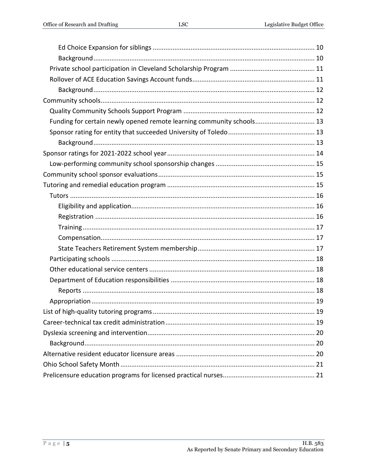| Funding for certain newly opened remote learning community schools 13 |  |
|-----------------------------------------------------------------------|--|
|                                                                       |  |
|                                                                       |  |
|                                                                       |  |
|                                                                       |  |
|                                                                       |  |
|                                                                       |  |
|                                                                       |  |
|                                                                       |  |
|                                                                       |  |
|                                                                       |  |
|                                                                       |  |
|                                                                       |  |
|                                                                       |  |
|                                                                       |  |
|                                                                       |  |
|                                                                       |  |
|                                                                       |  |
|                                                                       |  |
|                                                                       |  |
|                                                                       |  |
|                                                                       |  |
|                                                                       |  |
|                                                                       |  |
|                                                                       |  |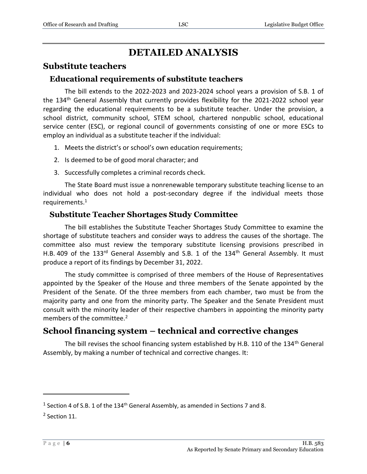# **DETAILED ANALYSIS**

## <span id="page-5-0"></span>**Substitute teachers**

#### <span id="page-5-1"></span>**Educational requirements of substitute teachers**

The bill extends to the 2022-2023 and 2023-2024 school years a provision of S.B. 1 of the 134<sup>th</sup> General Assembly that currently provides flexibility for the 2021-2022 school year regarding the educational requirements to be a substitute teacher. Under the provision, a school district, community school, STEM school, chartered nonpublic school, educational service center (ESC), or regional council of governments consisting of one or more ESCs to employ an individual as a substitute teacher if the individual:

- 1. Meets the district's or school's own education requirements;
- 2. Is deemed to be of good moral character; and
- 3. Successfully completes a criminal records check.

The State Board must issue a nonrenewable temporary substitute teaching license to an individual who does not hold a post-secondary degree if the individual meets those requirements.<sup>1</sup>

#### <span id="page-5-2"></span>**Substitute Teacher Shortages Study Committee**

The bill establishes the Substitute Teacher Shortages Study Committee to examine the shortage of substitute teachers and consider ways to address the causes of the shortage. The committee also must review the temporary substitute licensing provisions prescribed in H.B. 409 of the 133rd General Assembly and S.B. 1 of the 134<sup>th</sup> General Assembly. It must produce a report of its findings by December 31, 2022.

The study committee is comprised of three members of the House of Representatives appointed by the Speaker of the House and three members of the Senate appointed by the President of the Senate. Of the three members from each chamber, two must be from the majority party and one from the minority party. The Speaker and the Senate President must consult with the minority leader of their respective chambers in appointing the minority party members of the committee.<sup>2</sup>

# <span id="page-5-3"></span>**School financing system – technical and corrective changes**

The bill revises the school financing system established by H.B. 110 of the 134<sup>th</sup> General Assembly, by making a number of technical and corrective changes. It:

<sup>&</sup>lt;sup>1</sup> Section 4 of S.B. 1 of the 134<sup>th</sup> General Assembly, as amended in Sections 7 and 8.

<sup>&</sup>lt;sup>2</sup> Section 11.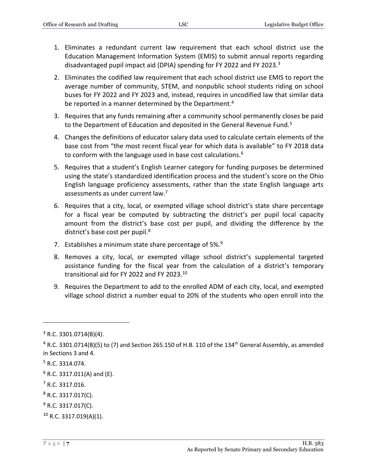- 1. Eliminates a redundant current law requirement that each school district use the Education Management Information System (EMIS) to submit annual reports regarding disadvantaged pupil impact aid (DPIA) spending for FY 2022 and FY 2023.<sup>3</sup>
- 2. Eliminates the codified law requirement that each school district use EMIS to report the average number of community, STEM, and nonpublic school students riding on school buses for FY 2022 and FY 2023 and, instead, requires in uncodified law that similar data be reported in a manner determined by the Department.<sup>4</sup>
- 3. Requires that any funds remaining after a community school permanently closes be paid to the Department of Education and deposited in the General Revenue Fund.<sup>5</sup>
- 4. Changes the definitions of educator salary data used to calculate certain elements of the base cost from "the most recent fiscal year for which data is available" to FY 2018 data to conform with the language used in base cost calculations. $6$
- 5. Requires that a student's English Learner category for funding purposes be determined using the state's standardized identification process and the student's score on the Ohio English language proficiency assessments, rather than the state English language arts assessments as under current law.<sup>7</sup>
- 6. Requires that a city, local, or exempted village school district's state share percentage for a fiscal year be computed by subtracting the district's per pupil local capacity amount from the district's base cost per pupil, and dividing the difference by the district's base cost per pupil.<sup>8</sup>
- 7. Establishes a minimum state share percentage of  $5\%$ .
- 8. Removes a city, local, or exempted village school district's supplemental targeted assistance funding for the fiscal year from the calculation of a district's temporary transitional aid for FY 2022 and FY 2023.<sup>10</sup>
- 9. Requires the Department to add to the enrolled ADM of each city, local, and exempted village school district a number equal to 20% of the students who open enroll into the

 $3$  R.C. 3301.0714(B)(4).

 $4$  R.C. 3301.0714(B)(5) to (7) and Section 265.150 of H.B. 110 of the 134<sup>th</sup> General Assembly, as amended in Sections 3 and 4.

<sup>5</sup> R.C. 3314.074.

 $6$  R.C. 3317.011(A) and (E).

<sup>7</sup> R.C. 3317.016.

<sup>8</sup> R.C. 3317.017(C).

 $9$  R.C. 3317.017(C).

<sup>10</sup> R.C. 3317.019(A)(1).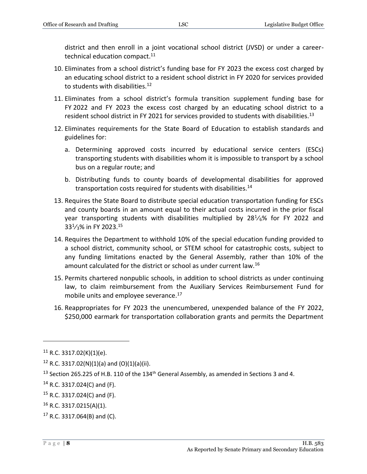district and then enroll in a joint vocational school district (JVSD) or under a careertechnical education compact.<sup>11</sup>

- 10. Eliminates from a school district's funding base for FY 2023 the excess cost charged by an educating school district to a resident school district in FY 2020 for services provided to students with disabilities.<sup>12</sup>
- 11. Eliminates from a school district's formula transition supplement funding base for FY 2022 and FY 2023 the excess cost charged by an educating school district to a resident school district in FY 2021 for services provided to students with disabilities.<sup>13</sup>
- 12. Eliminates requirements for the State Board of Education to establish standards and guidelines for:
	- a. Determining approved costs incurred by educational service centers (ESCs) transporting students with disabilities whom it is impossible to transport by a school bus on a regular route; and
	- b. Distributing funds to county boards of developmental disabilities for approved transportation costs required for students with disabilities.<sup>14</sup>
- 13. Requires the State Board to distribute special education transportation funding for ESCs and county boards in an amount equal to their actual costs incurred in the prior fiscal year transporting students with disabilities multiplied by  $28^{1}/_{6}\%$  for FY 2022 and  $33<sup>1</sup>/<sub>3</sub>$ % in FY 2023.<sup>15</sup>
- 14. Requires the Department to withhold 10% of the special education funding provided to a school district, community school, or STEM school for catastrophic costs, subject to any funding limitations enacted by the General Assembly, rather than 10% of the amount calculated for the district or school as under current law.<sup>16</sup>
- 15. Permits chartered nonpublic schools, in addition to school districts as under continuing law, to claim reimbursement from the Auxiliary Services Reimbursement Fund for mobile units and employee severance.<sup>17</sup>
- 16. Reappropriates for FY 2023 the unencumbered, unexpended balance of the FY 2022, \$250,000 earmark for transportation collaboration grants and permits the Department

 $11$  R.C. 3317.02(K)(1)(e).

 $12$  R.C. 3317.02(N)(1)(a) and (O)(1)(a)(ii).

<sup>&</sup>lt;sup>13</sup> Section 265.225 of H.B. 110 of the 134<sup>th</sup> General Assembly, as amended in Sections 3 and 4.

 $14$  R.C. 3317.024(C) and (F).

<sup>15</sup> R.C. 3317.024(C) and (F).

<sup>16</sup> R.C. 3317.0215(A)(1).

 $17$  R.C. 3317.064(B) and (C).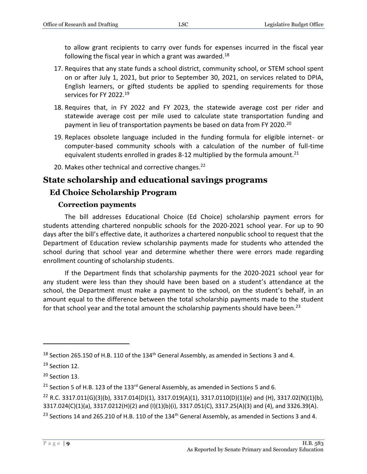to allow grant recipients to carry over funds for expenses incurred in the fiscal year following the fiscal year in which a grant was awarded.<sup>18</sup>

- 17. Requires that any state funds a school district, community school, or STEM school spent on or after July 1, 2021, but prior to September 30, 2021, on services related to DPIA, English learners, or gifted students be applied to spending requirements for those services for FY 2022.<sup>19</sup>
- 18. Requires that, in FY 2022 and FY 2023, the statewide average cost per rider and statewide average cost per mile used to calculate state transportation funding and payment in lieu of transportation payments be based on data from FY 2020.<sup>20</sup>
- 19. Replaces obsolete language included in the funding formula for eligible internet- or computer-based community schools with a calculation of the number of full-time equivalent students enrolled in grades 8-12 multiplied by the formula amount.<sup>21</sup>
- 20. Makes other technical and corrective changes.<sup>22</sup>

# <span id="page-8-0"></span>**State scholarship and educational savings programs**

# <span id="page-8-1"></span>**Ed Choice Scholarship Program**

#### **Correction payments**

<span id="page-8-2"></span>The bill addresses Educational Choice (Ed Choice) scholarship payment errors for students attending chartered nonpublic schools for the 2020-2021 school year. For up to 90 days after the bill's effective date, it authorizes a chartered nonpublic school to request that the Department of Education review scholarship payments made for students who attended the school during that school year and determine whether there were errors made regarding enrollment counting of scholarship students.

If the Department finds that scholarship payments for the 2020-2021 school year for any student were less than they should have been based on a student's attendance at the school, the Department must make a payment to the school, on the student's behalf, in an amount equal to the difference between the total scholarship payments made to the student for that school year and the total amount the scholarship payments should have been.<sup>23</sup>

 $18$  Section 265.150 of H.B. 110 of the 134<sup>th</sup> General Assembly, as amended in Sections 3 and 4.

 $19$  Section 12.

 $20$  Section 13.

<sup>&</sup>lt;sup>21</sup> Section 5 of H.B. 123 of the 133<sup>rd</sup> General Assembly, as amended in Sections 5 and 6.

<sup>&</sup>lt;sup>22</sup> R.C. 3317.011(G)(3)(b), 3317.014(D)(1), 3317.019(A)(1), 3317.0110(D)(1)(e) and (H), 3317.02(N)(1)(b), 3317.024(C)(1)(a), 3317.0212(H)(2) and (I)(1)(b)(i), 3317.051(C), 3317.25(A)(3) and (4), and 3326.39(A).

<sup>&</sup>lt;sup>23</sup> Sections 14 and 265.210 of H.B. 110 of the 134<sup>th</sup> General Assembly, as amended in Sections 3 and 4.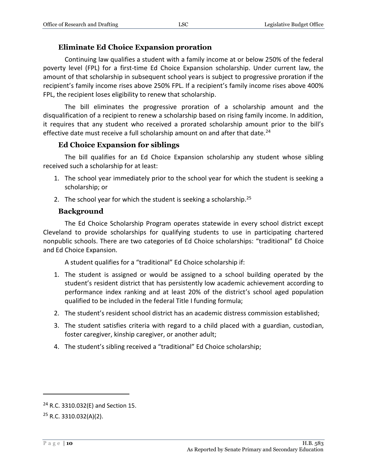#### **Eliminate Ed Choice Expansion proration**

<span id="page-9-0"></span>Continuing law qualifies a student with a family income at or below 250% of the federal poverty level (FPL) for a first-time Ed Choice Expansion scholarship. Under current law, the amount of that scholarship in subsequent school years is subject to progressive proration if the recipient's family income rises above 250% FPL. If a recipient's family income rises above 400% FPL, the recipient loses eligibility to renew that scholarship.

The bill eliminates the progressive proration of a scholarship amount and the disqualification of a recipient to renew a scholarship based on rising family income. In addition, it requires that any student who received a prorated scholarship amount prior to the bill's effective date must receive a full scholarship amount on and after that date.<sup>24</sup>

#### **Ed Choice Expansion for siblings**

<span id="page-9-1"></span>The bill qualifies for an Ed Choice Expansion scholarship any student whose sibling received such a scholarship for at least:

- 1. The school year immediately prior to the school year for which the student is seeking a scholarship; or
- 2. The school year for which the student is seeking a scholarship. $25$

#### **Background**

<span id="page-9-2"></span>The Ed Choice Scholarship Program operates statewide in every school district except Cleveland to provide scholarships for qualifying students to use in participating chartered nonpublic schools. There are two categories of Ed Choice scholarships: "traditional" Ed Choice and Ed Choice Expansion.

A student qualifies for a "traditional" Ed Choice scholarship if:

- 1. The student is assigned or would be assigned to a school building operated by the student's resident district that has persistently low academic achievement according to performance index ranking and at least 20% of the district's school aged population qualified to be included in the federal Title I funding formula;
- 2. The student's resident school district has an academic distress commission established;
- 3. The student satisfies criteria with regard to a child placed with a guardian, custodian, foster caregiver, kinship caregiver, or another adult;
- 4. The student's sibling received a "traditional" Ed Choice scholarship;

<sup>24</sup> R.C. 3310.032(E) and Section 15.

<sup>25</sup> R.C. 3310.032(A)(2).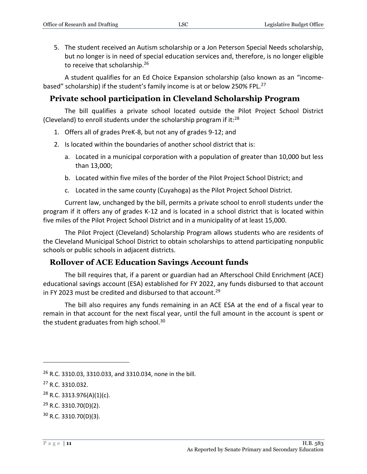5. The student received an Autism scholarship or a Jon Peterson Special Needs scholarship, but no longer is in need of special education services and, therefore, is no longer eligible to receive that scholarship.<sup>26</sup>

A student qualifies for an Ed Choice Expansion scholarship (also known as an "incomebased" scholarship) if the student's family income is at or below 250% FPL.<sup>27</sup>

# <span id="page-10-0"></span>**Private school participation in Cleveland Scholarship Program**

The bill qualifies a private school located outside the Pilot Project School District (Cleveland) to enroll students under the scholarship program if it: $^{28}$ 

- 1. Offers all of grades PreK-8, but not any of grades 9-12; and
- 2. Is located within the boundaries of another school district that is:
	- a. Located in a municipal corporation with a population of greater than 10,000 but less than 13,000;
	- b. Located within five miles of the border of the Pilot Project School District; and
	- c. Located in the same county (Cuyahoga) as the Pilot Project School District.

Current law, unchanged by the bill, permits a private school to enroll students under the program if it offers any of grades K-12 and is located in a school district that is located within five miles of the Pilot Project School District and in a municipality of at least 15,000.

The Pilot Project (Cleveland) Scholarship Program allows students who are residents of the Cleveland Municipal School District to obtain scholarships to attend participating nonpublic schools or public schools in adjacent districts.

#### <span id="page-10-1"></span>**Rollover of ACE Education Savings Account funds**

The bill requires that, if a parent or guardian had an Afterschool Child Enrichment (ACE) educational savings account (ESA) established for FY 2022, any funds disbursed to that account in FY 2023 must be credited and disbursed to that account.<sup>29</sup>

The bill also requires any funds remaining in an ACE ESA at the end of a fiscal year to remain in that account for the next fiscal year, until the full amount in the account is spent or the student graduates from high school. $30$ 

<sup>26</sup> R.C. 3310.03, 3310.033, and 3310.034, none in the bill.

<sup>27</sup> R.C. 3310.032.

 $28$  R.C. 3313.976(A)(1)(c).

<sup>29</sup> R.C. 3310.70(D)(2).

<sup>30</sup> R.C. 3310.70(D)(3).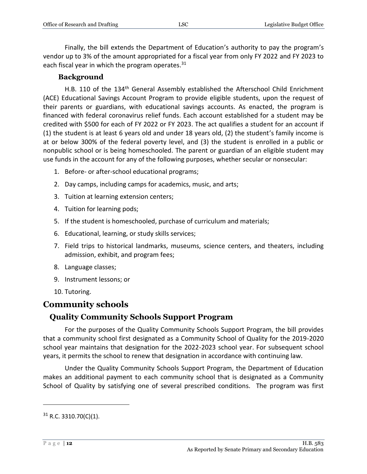Finally, the bill extends the Department of Education's authority to pay the program's vendor up to 3% of the amount appropriated for a fiscal year from only FY 2022 and FY 2023 to each fiscal year in which the program operates. $31$ 

#### **Background**

<span id="page-11-0"></span>H.B. 110 of the 134<sup>th</sup> General Assembly established the Afterschool Child Enrichment (ACE) Educational Savings Account Program to provide eligible students, upon the request of their parents or guardians, with educational savings accounts. As enacted, the program is financed with federal coronavirus relief funds. Each account established for a student may be credited with \$500 for each of FY 2022 or FY 2023. The act qualifies a student for an account if (1) the student is at least 6 years old and under 18 years old, (2) the student's family income is at or below 300% of the federal poverty level, and (3) the student is enrolled in a public or nonpublic school or is being homeschooled. The parent or guardian of an eligible student may use funds in the account for any of the following purposes, whether secular or nonsecular:

- 1. Before- or after-school educational programs;
- 2. Day camps, including camps for academics, music, and arts;
- 3. Tuition at learning extension centers;
- 4. Tuition for learning pods;
- 5. If the student is homeschooled, purchase of curriculum and materials;
- 6. Educational, learning, or study skills services;
- 7. Field trips to historical landmarks, museums, science centers, and theaters, including admission, exhibit, and program fees;
- 8. Language classes;
- 9. Instrument lessons; or
- 10. Tutoring.

#### <span id="page-11-1"></span>**Community schools**

#### <span id="page-11-2"></span>**Quality Community Schools Support Program**

For the purposes of the Quality Community Schools Support Program, the bill provides that a community school first designated as a Community School of Quality for the 2019-2020 school year maintains that designation for the 2022-2023 school year. For subsequent school years, it permits the school to renew that designation in accordance with continuing law.

Under the Quality Community Schools Support Program, the Department of Education makes an additional payment to each community school that is designated as a Community School of Quality by satisfying one of several prescribed conditions. The program was first

 $31$  R.C. 3310.70(C)(1).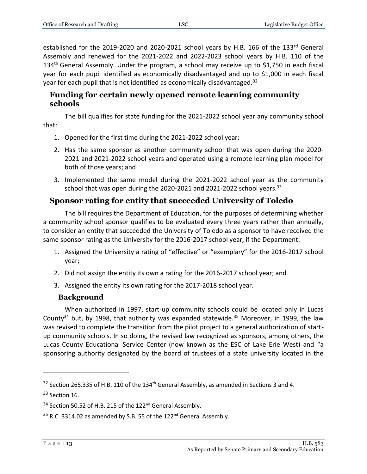established for the 2019-2020 and 2020-2021 school years by H.B. 166 of the 133rd General Assembly and renewed for the 2021-2022 and 2022-2023 school years by H.B. 110 of the 134<sup>th</sup> General Assembly. Under the program, a school may receive up to \$1,750 in each fiscal year for each pupil identified as economically disadvantaged and up to \$1,000 in each fiscal year for each pupil that is not identified as economically disadvantaged.<sup>32</sup>

#### <span id="page-12-0"></span>**Funding for certain newly opened remote learning community schools**

The bill qualifies for state funding for the 2021-2022 school year any community school that:

- 1. Opened for the first time during the 2021-2022 school year;
- 2. Has the same sponsor as another community school that was open during the 2020- 2021 and 2021-2022 school years and operated using a remote learning plan model for both of those years; and
- 3. Implemented the same model during the 2021-2022 school year as the community school that was open during the 2020-2021 and 2021-2022 school years. $33$

# <span id="page-12-1"></span>**Sponsor rating for entity that succeeded University of Toledo**

The bill requires the Department of Education, for the purposes of determining whether a community school sponsor qualifies to be evaluated every three years rather than annually, to consider an entity that succeeded the University of Toledo as a sponsor to have received the same sponsor rating as the University for the 2016-2017 school year, if the Department:

- 1. Assigned the University a rating of "effective" or "exemplary" for the 2016-2017 school year;
- 2. Did not assign the entity its own a rating for the 2016-2017 school year; and
- 3. Assigned the entity its own rating for the 2017-2018 school year.

#### **Background**

<span id="page-12-2"></span>When authorized in 1997, start-up community schools could be located only in Lucas County<sup>34</sup> but, by 1998, that authority was expanded statewide.<sup>35</sup> Moreover, in 1999, the law was revised to complete the transition from the pilot project to a general authorization of startup community schools. In so doing, the revised law recognized as sponsors, among others, the Lucas County Educational Service Center (now known as the ESC of Lake Erie West) and "a sponsoring authority designated by the board of trustees of a state university located in the

<sup>&</sup>lt;sup>32</sup> Section 265.335 of H.B. 110 of the 134<sup>th</sup> General Assembly, as amended in Sections 3 and 4.

<sup>&</sup>lt;sup>33</sup> Section 16.

<sup>&</sup>lt;sup>34</sup> Section 50.52 of H.B. 215 of the 122<sup>nd</sup> General Assembly.

 $35$  R.C. 3314.02 as amended by S.B. 55 of the 122<sup>nd</sup> General Assembly.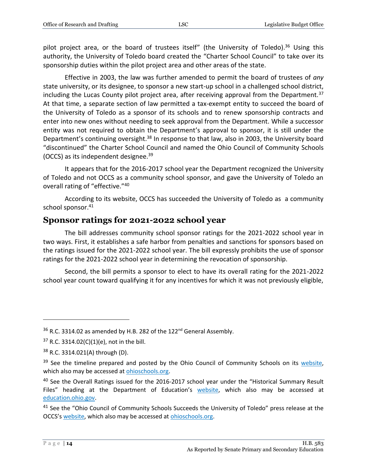pilot project area, or the board of trustees itself" (the University of Toledo).<sup>36</sup> Using this authority, the University of Toledo board created the "Charter School Council" to take over its sponsorship duties within the pilot project area and other areas of the state.

Effective in 2003, the law was further amended to permit the board of trustees of *any* state university, or its designee, to sponsor a new start-up school in a challenged school district, including the Lucas County pilot project area, after receiving approval from the Department.<sup>37</sup> At that time, a separate section of law permitted a tax-exempt entity to succeed the board of the University of Toledo as a sponsor of its schools and to renew sponsorship contracts and enter into new ones without needing to seek approval from the Department. While a successor entity was not required to obtain the Department's approval to sponsor, it is still under the Department's continuing oversight.<sup>38</sup> In response to that law, also in 2003, the University board "discontinued" the Charter School Council and named the Ohio Council of Community Schools (OCCS) as its independent designee.<sup>39</sup>

It appears that for the 2016-2017 school year the Department recognized the University of Toledo and not OCCS as a community school sponsor, and gave the University of Toledo an overall rating of "effective."<sup>40</sup>

According to its website, OCCS has succeeded the University of Toledo as a community school sponsor.<sup>41</sup>

## <span id="page-13-0"></span>**Sponsor ratings for 2021-2022 school year**

The bill addresses community school sponsor ratings for the 2021-2022 school year in two ways. First, it establishes a safe harbor from penalties and sanctions for sponsors based on the ratings issued for the 2021-2022 school year. The bill expressly prohibits the use of sponsor ratings for the 2021-2022 school year in determining the revocation of sponsorship.

Second, the bill permits a sponsor to elect to have its overall rating for the 2021-2022 school year count toward qualifying it for any incentives for which it was not previously eligible,

 $36$  R.C. 3314.02 as amended by H.B. 282 of the 122<sup>nd</sup> General Assembly.

 $37$  R.C. 3314.02(C)(1)(e), not in the bill.

<sup>38</sup> R.C. 3314.021(A) through (D).

<sup>&</sup>lt;sup>39</sup> See the timeline prepared and posted by the Ohio Council of Community Schools on its [website,](https://ohioschools.org/media/1156/occs_timeline_scroll.jpg) which also may be accessed a[t ohioschools.org.](https://ohioschools.org/)

<sup>&</sup>lt;sup>40</sup> See the Overall Ratings issued for the 2016-2017 school year under the "Historical Summary Result Files" heading at the Department of Education's [website,](https://education.ohio.gov/Topics/Community-Schools/Sponsor-Ratings-and-Tools/Overall-Sponsor-Ratings/Historical-Sponsor-Ratings) which also may be accessed at [education.ohio.gov.](https://education.ohio.gov/)

<sup>&</sup>lt;sup>41</sup> See the "Ohio Council of Community Schools Succeeds the University of Toledo" press release at the OCCS's [website,](https://ohioschools.org/news-events/blog-posts/ohio-council-of-community-schools-succeeds-the-university-of-toledo/) which also may be accessed a[t ohioschools.org.](https://ohioschools.org/)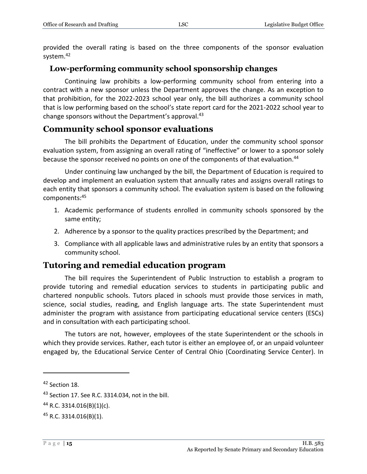provided the overall rating is based on the three components of the sponsor evaluation system.<sup>42</sup>

### <span id="page-14-0"></span>**Low-performing community school sponsorship changes**

Continuing law prohibits a low-performing community school from entering into a contract with a new sponsor unless the Department approves the change. As an exception to that prohibition, for the 2022-2023 school year only, the bill authorizes a community school that is low performing based on the school's state report card for the 2021-2022 school year to change sponsors without the Department's approval.<sup>43</sup>

# <span id="page-14-1"></span>**Community school sponsor evaluations**

The bill prohibits the Department of Education, under the community school sponsor evaluation system, from assigning an overall rating of "ineffective" or lower to a sponsor solely because the sponsor received no points on one of the components of that evaluation.<sup>44</sup>

Under continuing law unchanged by the bill, the Department of Education is required to develop and implement an evaluation system that annually rates and assigns overall ratings to each entity that sponsors a community school. The evaluation system is based on the following components:<sup>45</sup>

- 1. Academic performance of students enrolled in community schools sponsored by the same entity;
- 2. Adherence by a sponsor to the quality practices prescribed by the Department; and
- 3. Compliance with all applicable laws and administrative rules by an entity that sponsors a community school.

# <span id="page-14-2"></span>**Tutoring and remedial education program**

The bill requires the Superintendent of Public Instruction to establish a program to provide tutoring and remedial education services to students in participating public and chartered nonpublic schools. Tutors placed in schools must provide those services in math, science, social studies, reading, and English language arts. The state Superintendent must administer the program with assistance from participating educational service centers (ESCs) and in consultation with each participating school.

The tutors are not, however, employees of the state Superintendent or the schools in which they provide services. Rather, each tutor is either an employee of, or an unpaid volunteer engaged by, the Educational Service Center of Central Ohio (Coordinating Service Center). In

<sup>42</sup> Section 18.

<sup>43</sup> Section 17. See R.C. 3314.034, not in the bill.

<sup>44</sup> R.C. 3314.016(B)(1)(c).

<sup>45</sup> R.C. 3314.016(B)(1).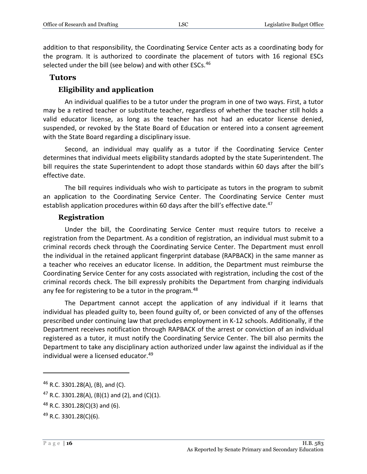addition to that responsibility, the Coordinating Service Center acts as a coordinating body for the program. It is authorized to coordinate the placement of tutors with 16 regional ESCs selected under the bill (see below) and with other ESCs.<sup>46</sup>

#### <span id="page-15-0"></span>**Tutors**

#### **Eligibility and application**

<span id="page-15-1"></span>An individual qualifies to be a tutor under the program in one of two ways. First, a tutor may be a retired teacher or substitute teacher, regardless of whether the teacher still holds a valid educator license, as long as the teacher has not had an educator license denied, suspended, or revoked by the State Board of Education or entered into a consent agreement with the State Board regarding a disciplinary issue.

Second, an individual may qualify as a tutor if the Coordinating Service Center determines that individual meets eligibility standards adopted by the state Superintendent. The bill requires the state Superintendent to adopt those standards within 60 days after the bill's effective date.

The bill requires individuals who wish to participate as tutors in the program to submit an application to the Coordinating Service Center. The Coordinating Service Center must establish application procedures within 60 days after the bill's effective date.<sup>47</sup>

#### **Registration**

<span id="page-15-2"></span>Under the bill, the Coordinating Service Center must require tutors to receive a registration from the Department. As a condition of registration, an individual must submit to a criminal records check through the Coordinating Service Center. The Department must enroll the individual in the retained applicant fingerprint database (RAPBACK) in the same manner as a teacher who receives an educator license. In addition, the Department must reimburse the Coordinating Service Center for any costs associated with registration, including the cost of the criminal records check. The bill expressly prohibits the Department from charging individuals any fee for registering to be a tutor in the program.<sup>48</sup>

The Department cannot accept the application of any individual if it learns that individual has pleaded guilty to, been found guilty of, or been convicted of any of the offenses prescribed under continuing law that precludes employment in K-12 schools. Additionally, if the Department receives notification through RAPBACK of the arrest or conviction of an individual registered as a tutor, it must notify the Coordinating Service Center. The bill also permits the Department to take any disciplinary action authorized under law against the individual as if the individual were a licensed educator.<sup>49</sup>

<sup>46</sup> R.C. 3301.28(A), (B), and (C).

<sup>&</sup>lt;sup>47</sup> R.C. 3301.28(A), (B)(1) and (2), and (C)(1).

 $48$  R.C. 3301.28(C)(3) and (6).

<sup>49</sup> R.C. 3301.28(C)(6).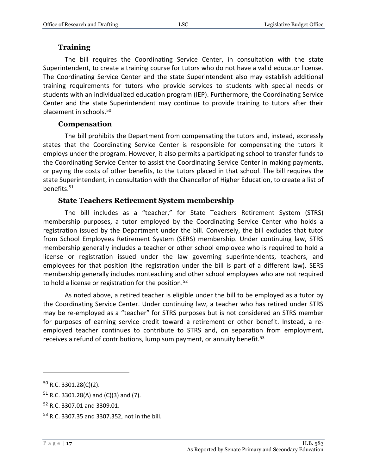#### **Training**

<span id="page-16-0"></span>The bill requires the Coordinating Service Center, in consultation with the state Superintendent, to create a training course for tutors who do not have a valid educator license. The Coordinating Service Center and the state Superintendent also may establish additional training requirements for tutors who provide services to students with special needs or students with an individualized education program (IEP). Furthermore, the Coordinating Service Center and the state Superintendent may continue to provide training to tutors after their placement in schools.<sup>50</sup>

#### **Compensation**

<span id="page-16-1"></span>The bill prohibits the Department from compensating the tutors and, instead, expressly states that the Coordinating Service Center is responsible for compensating the tutors it employs under the program. However, it also permits a participating school to transfer funds to the Coordinating Service Center to assist the Coordinating Service Center in making payments, or paying the costs of other benefits, to the tutors placed in that school. The bill requires the state Superintendent, in consultation with the Chancellor of Higher Education, to create a list of benefits.<sup>51</sup>

#### **State Teachers Retirement System membership**

<span id="page-16-2"></span>The bill includes as a "teacher," for State Teachers Retirement System (STRS) membership purposes, a tutor employed by the Coordinating Service Center who holds a registration issued by the Department under the bill. Conversely, the bill excludes that tutor from School Employees Retirement System (SERS) membership. Under continuing law, STRS membership generally includes a teacher or other school employee who is required to hold a license or registration issued under the law governing superintendents, teachers, and employees for that position (the registration under the bill is part of a different law). SERS membership generally includes nonteaching and other school employees who are not required to hold a license or registration for the position.<sup>52</sup>

As noted above, a retired teacher is eligible under the bill to be employed as a tutor by the Coordinating Service Center. Under continuing law, a teacher who has retired under STRS may be re-employed as a "teacher" for STRS purposes but is not considered an STRS member for purposes of earning service credit toward a retirement or other benefit. Instead, a reemployed teacher continues to contribute to STRS and, on separation from employment, receives a refund of contributions, lump sum payment, or annuity benefit.<sup>53</sup>

<sup>50</sup> R.C. 3301.28(C)(2).

 $51$  R.C. 3301.28(A) and (C)(3) and (7).

<sup>52</sup> R.C. 3307.01 and 3309.01.

<sup>53</sup> R.C. 3307.35 and 3307.352, not in the bill.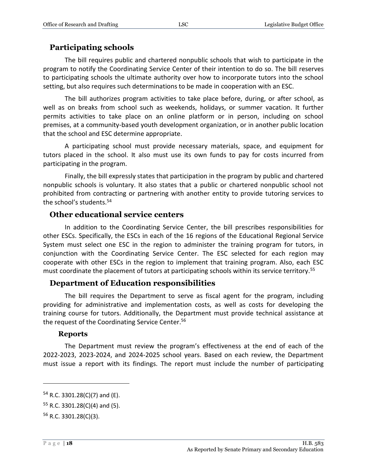### <span id="page-17-0"></span>**Participating schools**

The bill requires public and chartered nonpublic schools that wish to participate in the program to notify the Coordinating Service Center of their intention to do so. The bill reserves to participating schools the ultimate authority over how to incorporate tutors into the school setting, but also requires such determinations to be made in cooperation with an ESC.

The bill authorizes program activities to take place before, during, or after school, as well as on breaks from school such as weekends, holidays, or summer vacation. It further permits activities to take place on an online platform or in person, including on school premises, at a community-based youth development organization, or in another public location that the school and ESC determine appropriate.

A participating school must provide necessary materials, space, and equipment for tutors placed in the school. It also must use its own funds to pay for costs incurred from participating in the program.

Finally, the bill expressly states that participation in the program by public and chartered nonpublic schools is voluntary. It also states that a public or chartered nonpublic school not prohibited from contracting or partnering with another entity to provide tutoring services to the school's students.<sup>54</sup>

#### <span id="page-17-1"></span>**Other educational service centers**

In addition to the Coordinating Service Center, the bill prescribes responsibilities for other ESCs. Specifically, the ESCs in each of the 16 regions of the Educational Regional Service System must select one ESC in the region to administer the training program for tutors, in conjunction with the Coordinating Service Center. The ESC selected for each region may cooperate with other ESCs in the region to implement that training program. Also, each ESC must coordinate the placement of tutors at participating schools within its service territory.<sup>55</sup>

#### <span id="page-17-2"></span>**Department of Education responsibilities**

The bill requires the Department to serve as fiscal agent for the program, including providing for administrative and implementation costs, as well as costs for developing the training course for tutors. Additionally, the Department must provide technical assistance at the request of the Coordinating Service Center.<sup>56</sup>

#### **Reports**

<span id="page-17-3"></span>The Department must review the program's effectiveness at the end of each of the 2022-2023, 2023-2024, and 2024-2025 school years. Based on each review, the Department must issue a report with its findings. The report must include the number of participating

 $54$  R.C. 3301.28(C)(7) and (E).

 $55$  R.C. 3301.28(C)(4) and (5).

<sup>56</sup> R.C. 3301.28(C)(3).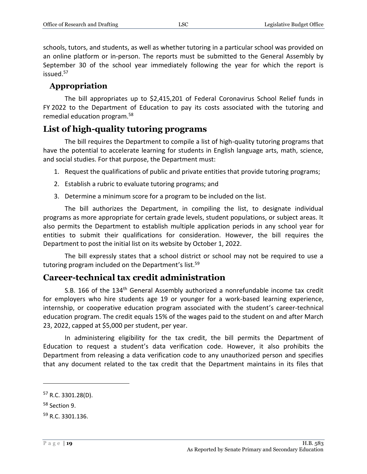schools, tutors, and students, as well as whether tutoring in a particular school was provided on an online platform or in-person. The reports must be submitted to the General Assembly by September 30 of the school year immediately following the year for which the report is issued.<sup>57</sup>

## <span id="page-18-0"></span>**Appropriation**

The bill appropriates up to \$2,415,201 of Federal Coronavirus School Relief funds in FY 2022 to the Department of Education to pay its costs associated with the tutoring and remedial education program.<sup>58</sup>

# <span id="page-18-1"></span>**List of high-quality tutoring programs**

The bill requires the Department to compile a list of high-quality tutoring programs that have the potential to accelerate learning for students in English language arts, math, science, and social studies. For that purpose, the Department must:

- 1. Request the qualifications of public and private entities that provide tutoring programs;
- 2. Establish a rubric to evaluate tutoring programs; and
- 3. Determine a minimum score for a program to be included on the list.

The bill authorizes the Department, in compiling the list, to designate individual programs as more appropriate for certain grade levels, student populations, or subject areas. It also permits the Department to establish multiple application periods in any school year for entities to submit their qualifications for consideration. However, the bill requires the Department to post the initial list on its website by October 1, 2022.

The bill expressly states that a school district or school may not be required to use a tutoring program included on the Department's list.<sup>59</sup>

# <span id="page-18-2"></span>**Career-technical tax credit administration**

S.B. 166 of the 134<sup>th</sup> General Assembly authorized a nonrefundable income tax credit for employers who hire students age 19 or younger for a work-based learning experience, internship, or cooperative education program associated with the student's career-technical education program. The credit equals 15% of the wages paid to the student on and after March 23, 2022, capped at \$5,000 per student, per year.

In administering eligibility for the tax credit, the bill permits the Department of Education to request a student's data verification code. However, it also prohibits the Department from releasing a data verification code to any unauthorized person and specifies that any document related to the tax credit that the Department maintains in its files that

<sup>57</sup> R.C. 3301.28(D).

<sup>58</sup> Section 9.

<sup>59</sup> R.C. 3301.136.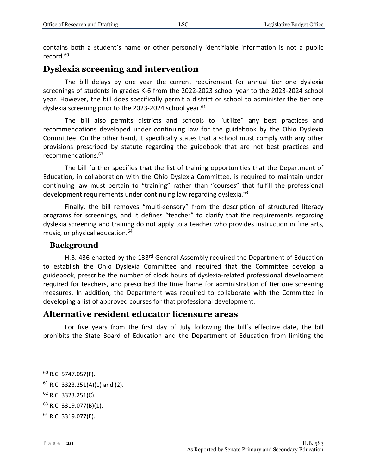contains both a student's name or other personally identifiable information is not a public record.<sup>60</sup>

# <span id="page-19-0"></span>**Dyslexia screening and intervention**

The bill delays by one year the current requirement for annual tier one dyslexia screenings of students in grades K-6 from the 2022-2023 school year to the 2023-2024 school year. However, the bill does specifically permit a district or school to administer the tier one dyslexia screening prior to the 2023-2024 school year.<sup>61</sup>

The bill also permits districts and schools to "utilize" any best practices and recommendations developed under continuing law for the guidebook by the Ohio Dyslexia Committee. On the other hand, it specifically states that a school must comply with any other provisions prescribed by statute regarding the guidebook that are not best practices and recommendations.<sup>62</sup>

The bill further specifies that the list of training opportunities that the Department of Education, in collaboration with the Ohio Dyslexia Committee, is required to maintain under continuing law must pertain to "training" rather than "courses" that fulfill the professional development requirements under continuing law regarding dyslexia.<sup>63</sup>

Finally, the bill removes "multi-sensory" from the description of structured literacy programs for screenings, and it defines "teacher" to clarify that the requirements regarding dyslexia screening and training do not apply to a teacher who provides instruction in fine arts, music, or physical education.<sup>64</sup>

#### <span id="page-19-1"></span>**Background**

H.B. 436 enacted by the 133<sup>rd</sup> General Assembly required the Department of Education to establish the Ohio Dyslexia Committee and required that the Committee develop a guidebook, prescribe the number of clock hours of dyslexia-related professional development required for teachers, and prescribed the time frame for administration of tier one screening measures. In addition, the Department was required to collaborate with the Committee in developing a list of approved courses for that professional development.

# <span id="page-19-2"></span>**Alternative resident educator licensure areas**

For five years from the first day of July following the bill's effective date, the bill prohibits the State Board of Education and the Department of Education from limiting the

<sup>60</sup> R.C. 5747.057(F).

 $61$  R.C. 3323.251(A)(1) and (2).

<sup>62</sup> R.C. 3323.251(C).

<sup>63</sup> R.C. 3319.077(B)(1).

<sup>64</sup> R.C. 3319.077(E).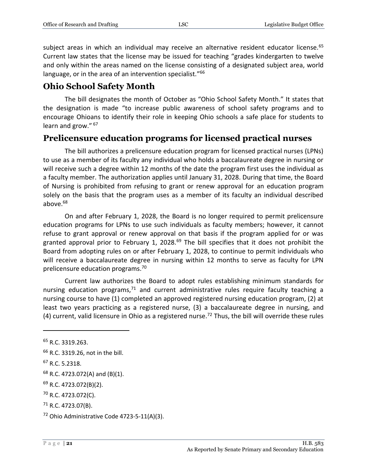subject areas in which an individual may receive an alternative resident educator license.<sup>65</sup> Current law states that the license may be issued for teaching "grades kindergarten to twelve and only within the areas named on the license consisting of a designated subject area, world language, or in the area of an intervention specialist."<sup>66</sup>

# <span id="page-20-0"></span>**Ohio School Safety Month**

The bill designates the month of October as "Ohio School Safety Month." It states that the designation is made "to increase public awareness of school safety programs and to encourage Ohioans to identify their role in keeping Ohio schools a safe place for students to learn and grow." 67

# <span id="page-20-1"></span>**Prelicensure education programs for licensed practical nurses**

The bill authorizes a prelicensure education program for licensed practical nurses (LPNs) to use as a member of its faculty any individual who holds a baccalaureate degree in nursing or will receive such a degree within 12 months of the date the program first uses the individual as a faculty member. The authorization applies until January 31, 2028. During that time, the Board of Nursing is prohibited from refusing to grant or renew approval for an education program solely on the basis that the program uses as a member of its faculty an individual described above.<sup>68</sup>

On and after February 1, 2028, the Board is no longer required to permit prelicensure education programs for LPNs to use such individuals as faculty members; however, it cannot refuse to grant approval or renew approval on that basis if the program applied for or was granted approval prior to February 1, 2028.<sup>69</sup> The bill specifies that it does not prohibit the Board from adopting rules on or after February 1, 2028, to continue to permit individuals who will receive a baccalaureate degree in nursing within 12 months to serve as faculty for LPN prelicensure education programs.<sup>70</sup>

Current law authorizes the Board to adopt rules establishing minimum standards for nursing education programs, $71$  and current administrative rules require faculty teaching a nursing course to have (1) completed an approved registered nursing education program, (2) at least two years practicing as a registered nurse, (3) a baccalaureate degree in nursing, and (4) current, valid licensure in Ohio as a registered nurse.<sup>72</sup> Thus, the bill will override these rules

 $\overline{a}$ 

- <sup>66</sup> R.C. 3319.26, not in the bill.
- <sup>67</sup> R.C. 5.2318.

 $68$  R.C. 4723.072(A) and (B)(1).

<sup>69</sup> R.C. 4723.072(B)(2).

<sup>70</sup> R.C. 4723.072(C).

 $71$  R.C. 4723.07(B).

<sup>&</sup>lt;sup>65</sup> R.C. 3319.263.

<sup>72</sup> Ohio Administrative Code 4723-5-11(A)(3).